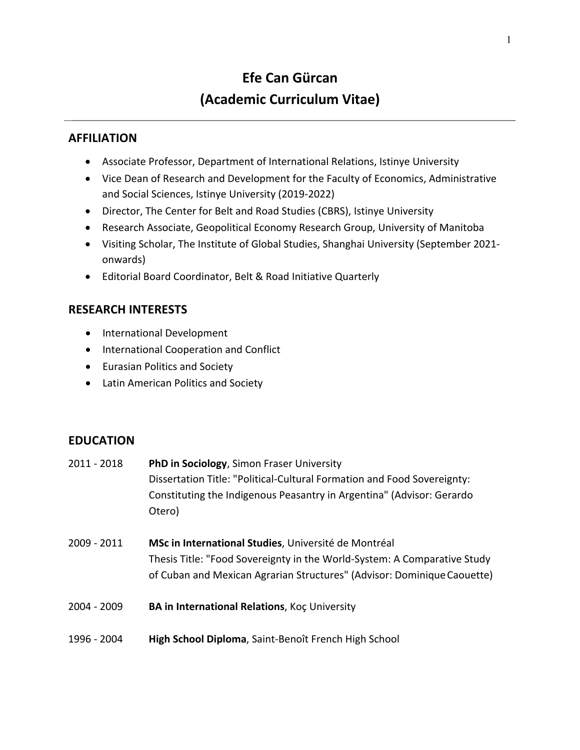# **Efe Can Gürcan (Academic Curriculum Vitae)**

# **AFFILIATION**

- Associate Professor, Department of International Relations, Istinye University
- Vice Dean of Research and Development for the Faculty of Economics, Administrative and Social Sciences, Istinye University (2019-2022)
- Director, The Center for Belt and Road Studies (CBRS), Istinye University
- Research Associate, Geopolitical Economy Research Group, University of Manitoba
- Visiting Scholar, The Institute of Global Studies, Shanghai University (September 2021 onwards)
- Editorial Board Coordinator, Belt & Road Initiative Quarterly

# **RESEARCH INTERESTS**

- International Development
- International Cooperation and Conflict
- Eurasian Politics and Society
- Latin American Politics and Society

#### **EDUCATION**

- 2011 2018 **PhD in Sociology**, Simon Fraser University Dissertation Title: "Political-Cultural Formation and Food Sovereignty: Constituting the Indigenous Peasantry in Argentina" (Advisor: Gerardo Otero)
- 2009 2011 **MSc in International Studies**, Université de Montréal Thesis Title: "Food Sovereignty in the World-System: A Comparative Study of Cuban and Mexican Agrarian Structures" (Advisor: DominiqueCaouette)
- 2004 2009 **BA in International Relations**, Koç University
- 1996 2004 **High School Diploma**, Saint-Benoît French High School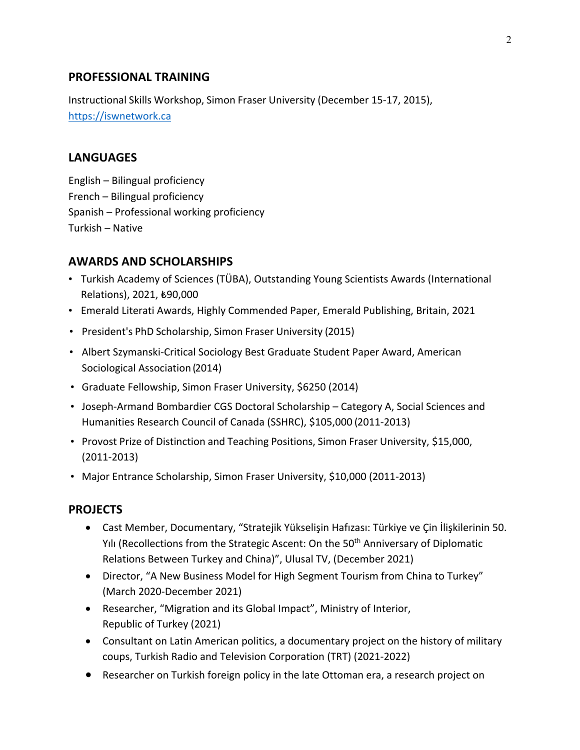### **PROFESSIONAL TRAINING**

Instructional Skills Workshop, Simon Fraser University (December 15-17, 2015), https://iswnetwork.ca

# **LANGUAGES**

English – Bilingual proficiency French – Bilingual proficiency Spanish – Professional working proficiency Turkish – Native

#### **AWARDS AND SCHOLARSHIPS**

- Turkish Academy of Sciences (TÜBA), Outstanding Young Scientists Awards (International Relations), 2021, ₺90,000
- Emerald Literati Awards, Highly Commended Paper, Emerald Publishing, Britain, 2021
- President's PhD Scholarship, Simon Fraser University (2015)
- Albert Szymanski-Critical Sociology Best Graduate Student Paper Award, American Sociological Association (2014)
- Graduate Fellowship, Simon Fraser University, \$6250 (2014)
- Joseph-Armand Bombardier CGS Doctoral Scholarship Category A, Social Sciences and Humanities Research Council of Canada (SSHRC), \$105,000 (2011-2013)
- Provost Prize of Distinction and Teaching Positions, Simon Fraser University, \$15,000, (2011-2013)
- Major Entrance Scholarship, Simon Fraser University, \$10,000 (2011-2013)

#### **PROJECTS**

- Cast Member, Documentary, "Stratejik Yükselişin Hafızası: Türkiye ve Çin İlişkilerinin 50. Yili (Recollections from the Strategic Ascent: On the 50<sup>th</sup> Anniversary of Diplomatic Relations Between Turkey and China)", Ulusal TV, (December 2021)
- Director, "A New Business Model for High Segment Tourism from China to Turkey" (March 2020-December 2021)
- Researcher, "Migration and its Global Impact", Ministry of Interior, Republic of Turkey (2021)
- Consultant on Latin American politics, a documentary project on the history of military coups, Turkish Radio and Television Corporation (TRT) (2021-2022)
- Researcher on Turkish foreign policy in the late Ottoman era, a research project on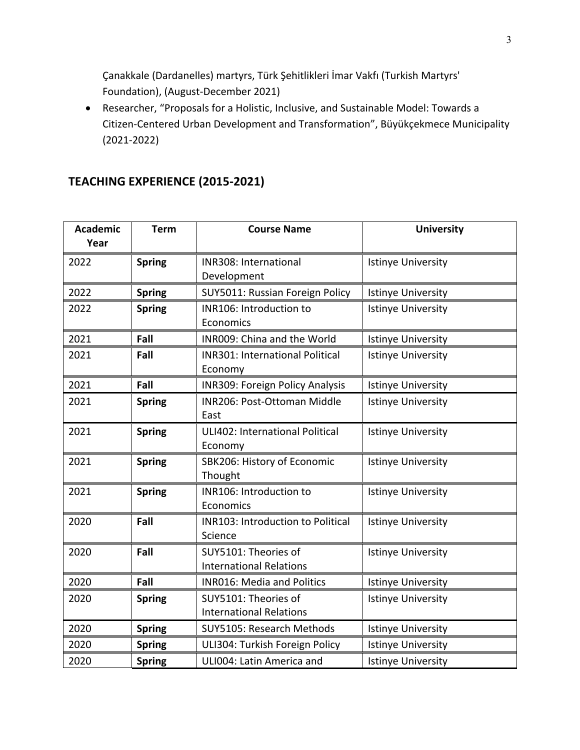Çanakkale (Dardanelles) martyrs, Türk Şehitlikleri İmar Vakfı (Turkish Martyrs' Foundation), (August-December 2021)

• Researcher, "Proposals for a Holistic, Inclusive, and Sustainable Model: Towards a Citizen-Centered Urban Development and Transformation", Büyükçekmece Municipality (2021-2022)

# **TEACHING EXPERIENCE (2015-2021)**

| <b>Academic</b><br>Year | <b>Term</b>   | <b>Course Name</b>                     | <b>University</b>         |
|-------------------------|---------------|----------------------------------------|---------------------------|
| 2022                    | <b>Spring</b> | INR308: International                  | <b>Istinye University</b> |
|                         |               | Development                            |                           |
| 2022                    | <b>Spring</b> | SUY5011: Russian Foreign Policy        | <b>Istinye University</b> |
| 2022                    | <b>Spring</b> | INR106: Introduction to                | <b>Istinye University</b> |
|                         |               | Economics                              |                           |
| 2021                    | Fall          | INR009: China and the World            | <b>Istinye University</b> |
| 2021                    | Fall          | <b>INR301: International Political</b> | <b>Istinye University</b> |
|                         |               | Economy                                |                           |
| 2021                    | Fall          | <b>INR309: Foreign Policy Analysis</b> | Istinye University        |
| 2021                    | <b>Spring</b> | INR206: Post-Ottoman Middle            | <b>Istinye University</b> |
|                         |               | East                                   |                           |
| 2021                    | <b>Spring</b> | ULI402: International Political        | <b>Istinye University</b> |
|                         |               | Economy                                |                           |
| 2021                    | <b>Spring</b> | SBK206: History of Economic            | <b>Istinye University</b> |
|                         |               | Thought                                |                           |
| 2021                    | <b>Spring</b> | INR106: Introduction to                | <b>Istinye University</b> |
|                         |               | Economics                              |                           |
| 2020                    | Fall          | INR103: Introduction to Political      | <b>Istinye University</b> |
|                         |               | Science                                |                           |
| 2020                    | Fall          | SUY5101: Theories of                   | <b>Istinye University</b> |
|                         |               | <b>International Relations</b>         |                           |
| 2020                    | Fall          | <b>INR016: Media and Politics</b>      | Istinye University        |
| 2020                    | <b>Spring</b> | SUY5101: Theories of                   | <b>Istinye University</b> |
|                         |               | <b>International Relations</b>         |                           |
| 2020                    | <b>Spring</b> | SUY5105: Research Methods              | <b>Istinye University</b> |
| 2020                    | <b>Spring</b> | ULI304: Turkish Foreign Policy         | Istinye University        |
| 2020                    | <b>Spring</b> | ULI004: Latin America and              | <b>Istinye University</b> |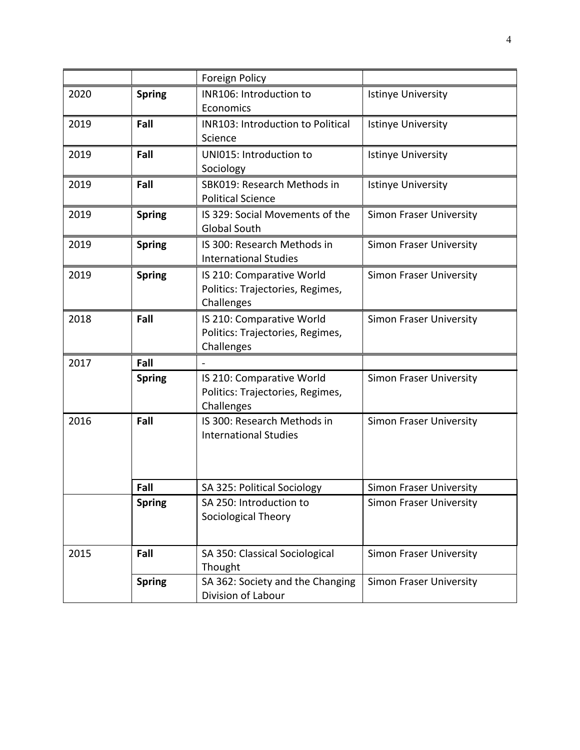|      |               | Foreign Policy                                                              |                                |
|------|---------------|-----------------------------------------------------------------------------|--------------------------------|
| 2020 | <b>Spring</b> | INR106: Introduction to<br>Economics                                        | <b>Istinye University</b>      |
| 2019 | Fall          | <b>INR103: Introduction to Political</b><br>Science                         | <b>Istinye University</b>      |
| 2019 | Fall          | UNI015: Introduction to<br>Sociology                                        | <b>Istinye University</b>      |
| 2019 | Fall          | SBK019: Research Methods in<br><b>Political Science</b>                     | <b>Istinye University</b>      |
| 2019 | <b>Spring</b> | IS 329: Social Movements of the<br><b>Global South</b>                      | Simon Fraser University        |
| 2019 | <b>Spring</b> | IS 300: Research Methods in<br><b>International Studies</b>                 | <b>Simon Fraser University</b> |
| 2019 | <b>Spring</b> | IS 210: Comparative World<br>Politics: Trajectories, Regimes,<br>Challenges | <b>Simon Fraser University</b> |
| 2018 | Fall          | IS 210: Comparative World<br>Politics: Trajectories, Regimes,<br>Challenges | <b>Simon Fraser University</b> |
| 2017 | Fall          |                                                                             |                                |
|      | <b>Spring</b> | IS 210: Comparative World<br>Politics: Trajectories, Regimes,<br>Challenges | <b>Simon Fraser University</b> |
| 2016 | Fall          | IS 300: Research Methods in<br><b>International Studies</b>                 | <b>Simon Fraser University</b> |
|      | Fall          | SA 325: Political Sociology                                                 | <b>Simon Fraser University</b> |
|      | <b>Spring</b> | SA 250: Introduction to<br>Sociological Theory                              | <b>Simon Fraser University</b> |
| 2015 | Fall          | SA 350: Classical Sociological<br>Thought                                   | <b>Simon Fraser University</b> |
|      | <b>Spring</b> | SA 362: Society and the Changing<br>Division of Labour                      | <b>Simon Fraser University</b> |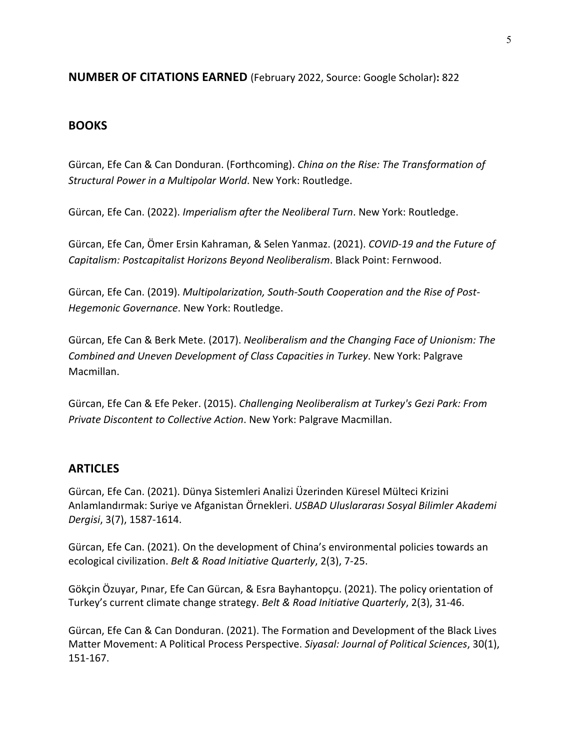#### **NUMBER OF CITATIONS EARNED** (February 2022, Source: Google Scholar)**:** 822

#### **BOOKS**

Gürcan, Efe Can & Can Donduran. (Forthcoming). *China on the Rise: The Transformation of Structural Power in a Multipolar World*. New York: Routledge.

Gürcan, Efe Can. (2022). *Imperialism after the Neoliberal Turn*. New York: Routledge.

Gürcan, Efe Can, Ömer Ersin Kahraman, & Selen Yanmaz. (2021). *COVID-19 and the Future of Capitalism: Postcapitalist Horizons Beyond Neoliberalism*. Black Point: Fernwood.

Gürcan, Efe Can. (2019). *Multipolarization, South-South Cooperation and the Rise of Post-Hegemonic Governance*. New York: Routledge.

Gürcan, Efe Can & Berk Mete. (2017). *Neoliberalism and the Changing Face of Unionism: The Combined and Uneven Development of Class Capacities in Turkey*. New York: Palgrave Macmillan.

Gürcan, Efe Can & Efe Peker. (2015). *Challenging Neoliberalism at Turkey's Gezi Park: From Private Discontent to Collective Action*. New York: Palgrave Macmillan.

#### **ARTICLES**

Gürcan, Efe Can. (2021). Dünya Sistemleri Analizi Üzerinden Küresel Mülteci Krizini Anlamlandırmak: Suriye ve Afganistan Örnekleri. *USBAD Uluslararası Sosyal Bilimler Akademi Dergisi*, 3(7), 1587-1614.

Gürcan, Efe Can. (2021). On the development of China's environmental policies towards an ecological civilization. *Belt & Road Initiative Quarterly*, 2(3), 7-25.

Gökçin Özuyar, Pınar, Efe Can Gürcan, & Esra Bayhantopçu. (2021). The policy orientation of Turkey's current climate change strategy. *Belt & Road Initiative Quarterly*, 2(3), 31-46.

Gürcan, Efe Can & Can Donduran. (2021). The Formation and Development of the Black Lives Matter Movement: A Political Process Perspective. *Siyasal: Journal of Political Sciences*, 30(1), 151-167.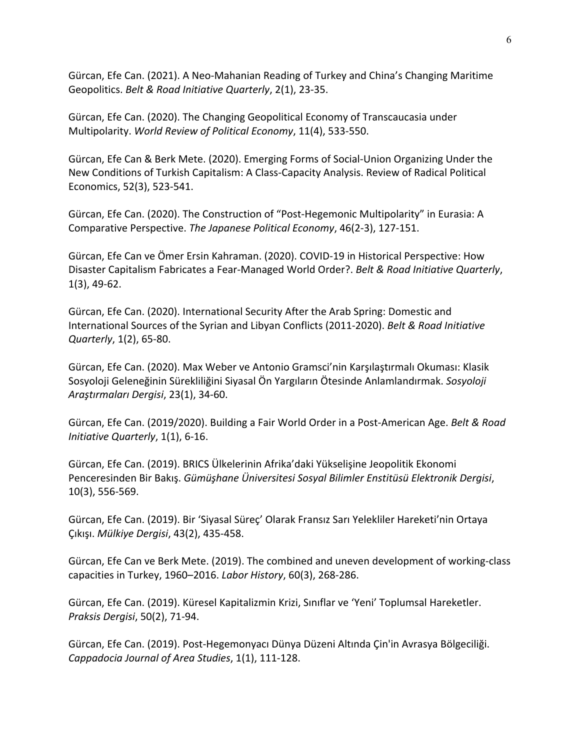Gürcan, Efe Can. (2021). A Neo-Mahanian Reading of Turkey and China's Changing Maritime Geopolitics. *Belt & Road Initiative Quarterly*, 2(1), 23-35.

Gürcan, Efe Can. (2020). The Changing Geopolitical Economy of Transcaucasia under Multipolarity. *World Review of Political Economy*, 11(4), 533-550.

Gürcan, Efe Can & Berk Mete. (2020). Emerging Forms of Social-Union Organizing Under the New Conditions of Turkish Capitalism: A Class-Capacity Analysis. Review of Radical Political Economics, 52(3), 523-541.

Gürcan, Efe Can. (2020). The Construction of "Post-Hegemonic Multipolarity" in Eurasia: A Comparative Perspective. *The Japanese Political Economy*, 46(2-3), 127-151.

Gürcan, Efe Can ve Ömer Ersin Kahraman. (2020). COVID-19 in Historical Perspective: How Disaster Capitalism Fabricates a Fear-Managed World Order?. *Belt & Road Initiative Quarterly*, 1(3), 49-62.

Gürcan, Efe Can. (2020). International Security After the Arab Spring: Domestic and International Sources of the Syrian and Libyan Conflicts (2011-2020). *Belt & Road Initiative Quarterly*, 1(2), 65-80.

Gürcan, Efe Can. (2020). Max Weber ve Antonio Gramsci'nin Karşılaştırmalı Okuması: Klasik Sosyoloji Geleneğinin Sürekliliğini Siyasal Ön Yargıların Ötesinde Anlamlandırmak. *Sosyoloji Araştırmaları Dergisi*, 23(1), 34-60.

Gürcan, Efe Can. (2019/2020). Building a Fair World Order in a Post-American Age. *Belt & Road Initiative Quarterly*, 1(1), 6-16.

Gürcan, Efe Can. (2019). BRICS Ülkelerinin Afrika'daki Yükselişine Jeopolitik Ekonomi Penceresinden Bir Bakış. *Gümüşhane Üniversitesi Sosyal Bilimler Enstitüsü Elektronik Dergisi*, 10(3), 556-569.

Gürcan, Efe Can. (2019). Bir 'Siyasal Süreç' Olarak Fransız Sarı Yelekliler Hareketi'nin Ortaya Çıkışı. *Mülkiye Dergisi*, 43(2), 435-458.

Gürcan, Efe Can ve Berk Mete. (2019). The combined and uneven development of working-class capacities in Turkey, 1960–2016. *Labor History*, 60(3), 268-286.

Gürcan, Efe Can. (2019). Küresel Kapitalizmin Krizi, Sınıflar ve 'Yeni' Toplumsal Hareketler. *Praksis Dergisi*, 50(2), 71-94.

Gürcan, Efe Can. (2019). Post-Hegemonyacı Dünya Düzeni Altında Çin'in Avrasya Bölgeciliği. *Cappadocia Journal of Area Studies*, 1(1), 111-128.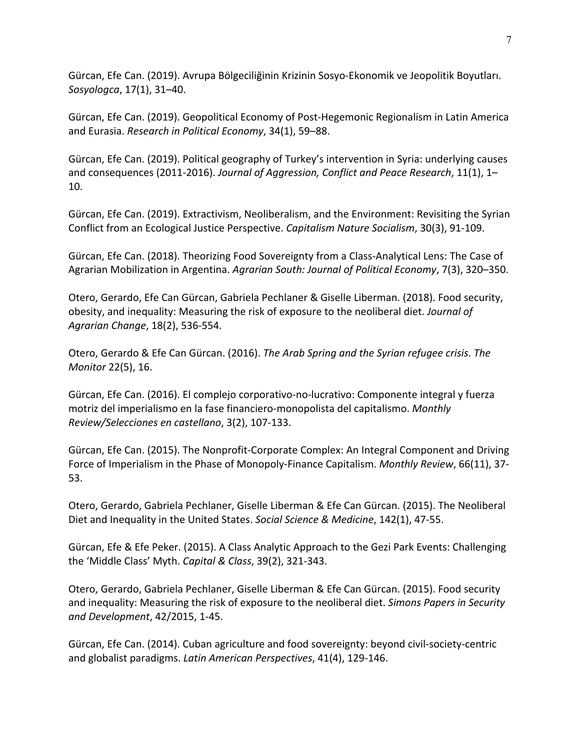Gürcan, Efe Can. (2019). Avrupa Bölgeciliğinin Krizinin Sosyo-Ekonomik ve Jeopolitik Boyutları. *Sosyologca*, 17(1), 31–40.

Gürcan, Efe Can. (2019). Geopolitical Economy of Post-Hegemonic Regionalism in Latin America and Eurasia. *Research in Political Economy*, 34(1), 59–88.

Gürcan, Efe Can. (2019). Political geography of Turkey's intervention in Syria: underlying causes and consequences (2011-2016). *Journal of Aggression, Conflict and Peace Research*, 11(1), 1– 10.

Gürcan, Efe Can. (2019). Extractivism, Neoliberalism, and the Environment: Revisiting the Syrian Conflict from an Ecological Justice Perspective. *Capitalism Nature Socialism*, 30(3), 91-109.

Gürcan, Efe Can. (2018). Theorizing Food Sovereignty from a Class-Analytical Lens: The Case of Agrarian Mobilization in Argentina. *Agrarian South: Journal of Political Economy*, 7(3), 320–350.

Otero, Gerardo, Efe Can Gürcan, Gabriela Pechlaner & Giselle Liberman. (2018). Food security, obesity, and inequality: Measuring the risk of exposure to the neoliberal diet. *Journal of Agrarian Change*, 18(2), 536-554.

Otero, Gerardo & Efe Can Gürcan. (2016). *The Arab Spring and the Syrian refugee crisis*. *The Monitor* 22(5), 16.

Gürcan, Efe Can. (2016). El complejo corporativo-no-lucrativo: Componente integral y fuerza motriz del imperialismo en la fase financiero-monopolista del capitalismo. *Monthly Review/Selecciones en castellano*, 3(2), 107-133.

Gürcan, Efe Can. (2015). The Nonprofit-Corporate Complex: An Integral Component and Driving Force of Imperialism in the Phase of Monopoly-Finance Capitalism. *Monthly Review*, 66(11), 37- 53.

Otero, Gerardo, Gabriela Pechlaner, Giselle Liberman & Efe Can Gürcan. (2015). The Neoliberal Diet and Inequality in the United States. *Social Science & Medicine*, 142(1), 47-55.

Gürcan, Efe & Efe Peker. (2015). A Class Analytic Approach to the Gezi Park Events: Challenging the 'Middle Class' Myth. *Capital & Class*, 39(2), 321-343.

Otero, Gerardo, Gabriela Pechlaner, Giselle Liberman & Efe Can Gürcan. (2015). Food security and inequality: Measuring the risk of exposure to the neoliberal diet. *Simons Papers in Security and Development*, 42/2015, 1-45.

Gürcan, Efe Can. (2014). Cuban agriculture and food sovereignty: beyond civil-society-centric and globalist paradigms. *Latin American Perspectives*, 41(4), 129-146.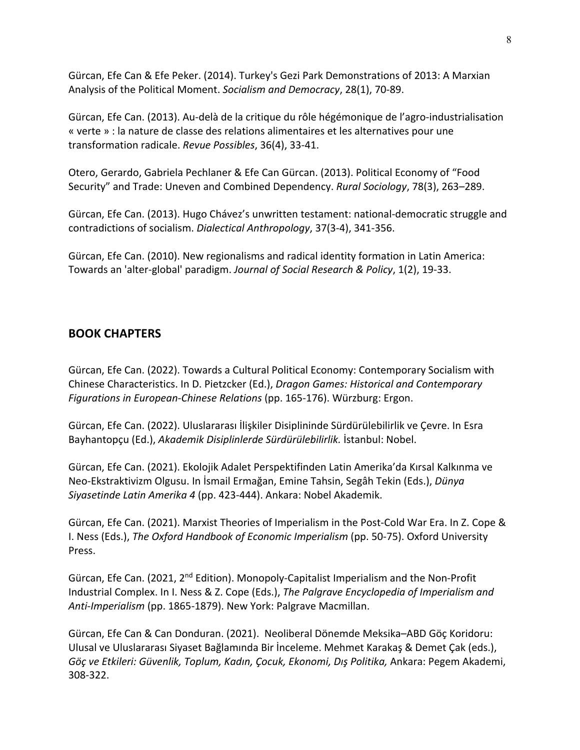Gürcan, Efe Can & Efe Peker. (2014). Turkey's Gezi Park Demonstrations of 2013: A Marxian Analysis of the Political Moment. *Socialism and Democracy*, 28(1), 70-89.

Gürcan, Efe Can. (2013). Au-delà de la critique du rôle hégémonique de l'agro-industrialisation « verte » : la nature de classe des relations alimentaires et les alternatives pour une transformation radicale. *Revue Possibles*, 36(4), 33-41.

Otero, Gerardo, Gabriela Pechlaner & Efe Can Gürcan. (2013). Political Economy of "Food Security" and Trade: Uneven and Combined Dependency. *Rural Sociology*, 78(3), 263–289.

Gürcan, Efe Can. (2013). Hugo Chávez's unwritten testament: national-democratic struggle and contradictions of socialism. *Dialectical Anthropology*, 37(3-4), 341-356.

Gürcan, Efe Can. (2010). New regionalisms and radical identity formation in Latin America: Towards an 'alter-global' paradigm. *Journal of Social Research & Policy*, 1(2), 19-33.

# **BOOK CHAPTERS**

Gürcan, Efe Can. (2022). Towards a Cultural Political Economy: Contemporary Socialism with Chinese Characteristics. In D. Pietzcker (Ed.), *Dragon Games: Historical and Contemporary Figurations in European-Chinese Relations* (pp. 165-176). Würzburg: Ergon.

Gürcan, Efe Can. (2022). Uluslararası İlişkiler Disiplininde Sürdürülebilirlik ve Çevre. In Esra Bayhantopçu (Ed.), *Akademik Disiplinlerde Sürdürülebilirlik.* İstanbul: Nobel.

Gürcan, Efe Can. (2021). Ekolojik Adalet Perspektifinden Latin Amerika'da Kırsal Kalkınma ve Neo-Ekstraktivizm Olgusu. In İsmail Ermağan, Emine Tahsin, Segâh Tekin (Eds.), *Dünya Siyasetinde Latin Amerika 4* (pp. 423-444). Ankara: Nobel Akademik.

Gürcan, Efe Can. (2021). Marxist Theories of Imperialism in the Post-Cold War Era. In Z. Cope & I. Ness (Eds.), *The Oxford Handbook of Economic Imperialism* (pp. 50-75). Oxford University Press.

Gürcan, Efe Can. (2021, 2nd Edition). Monopoly-Capitalist Imperialism and the Non-Profit Industrial Complex. In I. Ness & Z. Cope (Eds.), *The Palgrave Encyclopedia of Imperialism and Anti-Imperialism* (pp. 1865-1879). New York: Palgrave Macmillan.

Gürcan, Efe Can & Can Donduran. (2021). Neoliberal Dönemde Meksika–ABD Göç Koridoru: Ulusal ve Uluslararası Siyaset Bağlamında Bir İnceleme. Mehmet Karakaş & Demet Çak (eds.), *Göç ve Etkileri: Güvenlik, Toplum, Kadın, Çocuk, Ekonomi, Dış Politika,* Ankara: Pegem Akademi, 308-322.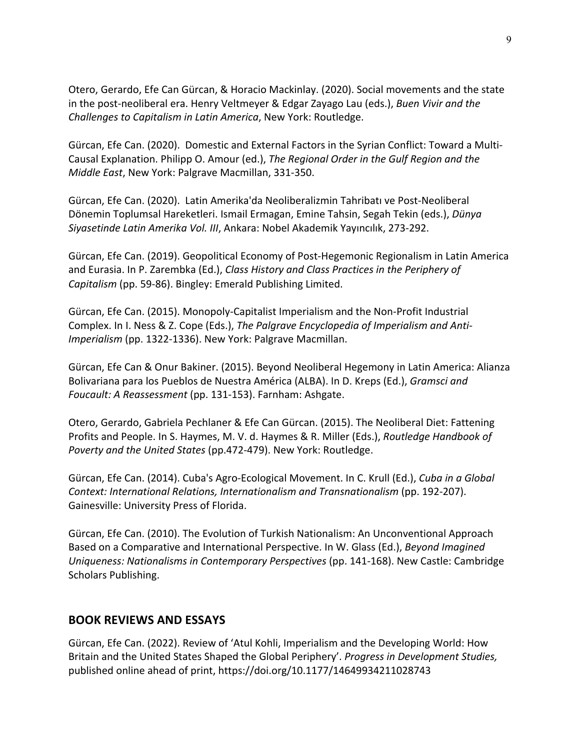Otero, Gerardo, Efe Can Gürcan, & Horacio Mackinlay. (2020). Social movements and the state in the post-neoliberal era. Henry Veltmeyer & Edgar Zayago Lau (eds.), *Buen Vivir and the Challenges to Capitalism in Latin America*, New York: Routledge.

Gürcan, Efe Can. (2020). Domestic and External Factors in the Syrian Conflict: Toward a Multi-Causal Explanation. Philipp O. Amour (ed.), *The Regional Order in the Gulf Region and the Middle East*, New York: Palgrave Macmillan, 331-350.

Gürcan, Efe Can. (2020). Latin Amerika'da Neoliberalizmin Tahribatı ve Post-Neoliberal Dönemin Toplumsal Hareketleri. Ismail Ermagan, Emine Tahsin, Segah Tekin (eds.), *Dünya Siyasetinde Latin Amerika Vol. III*, Ankara: Nobel Akademik Yayıncılık, 273-292.

Gürcan, Efe Can. (2019). Geopolitical Economy of Post-Hegemonic Regionalism in Latin America and Eurasia. In P. Zarembka (Ed.), *Class History and Class Practices in the Periphery of Capitalism* (pp. 59-86). Bingley: Emerald Publishing Limited.

Gürcan, Efe Can. (2015). Monopoly-Capitalist Imperialism and the Non-Profit Industrial Complex. In I. Ness & Z. Cope (Eds.), *The Palgrave Encyclopedia of Imperialism and Anti-Imperialism* (pp. 1322-1336). New York: Palgrave Macmillan.

Gürcan, Efe Can & Onur Bakiner. (2015). Beyond Neoliberal Hegemony in Latin America: Alianza Bolivariana para los Pueblos de Nuestra América (ALBA). In D. Kreps (Ed.), *Gramsci and Foucault: A Reassessment* (pp. 131-153). Farnham: Ashgate.

Otero, Gerardo, Gabriela Pechlaner & Efe Can Gürcan. (2015). The Neoliberal Diet: Fattening Profits and People. In S. Haymes, M. V. d. Haymes & R. Miller (Eds.), *Routledge Handbook of Poverty and the United States* (pp.472-479). New York: Routledge.

Gürcan, Efe Can. (2014). Cuba's Agro-Ecological Movement. In C. Krull (Ed.), *Cuba in a Global Context: International Relations, Internationalism and Transnationalism* (pp. 192-207). Gainesville: University Press of Florida.

Gürcan, Efe Can. (2010). The Evolution of Turkish Nationalism: An Unconventional Approach Based on a Comparative and International Perspective. In W. Glass (Ed.), *Beyond Imagined Uniqueness: Nationalisms in Contemporary Perspectives* (pp. 141-168). New Castle: Cambridge Scholars Publishing.

#### **BOOK REVIEWS AND ESSAYS**

Gürcan, Efe Can. (2022). Review of 'Atul Kohli, Imperialism and the Developing World: How Britain and the United States Shaped the Global Periphery'. *Progress in Development Studies,*  published online ahead of print, https://doi.org/10.1177/14649934211028743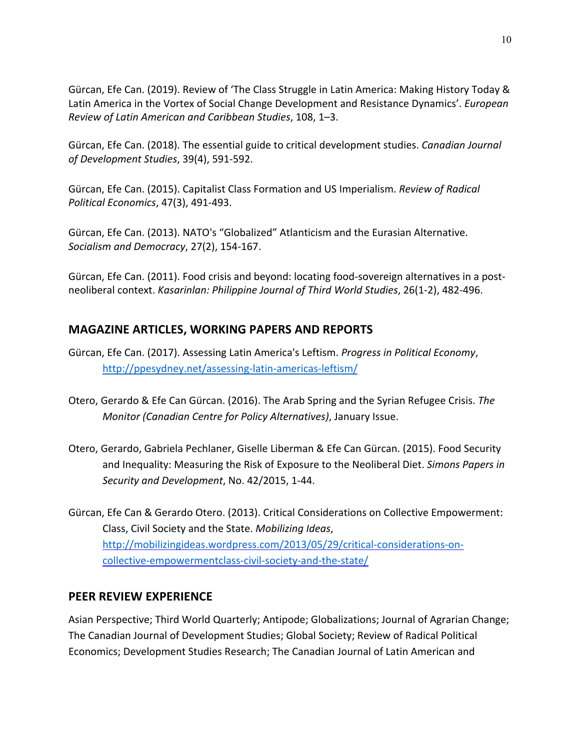Gürcan, Efe Can. (2019). Review of 'The Class Struggle in Latin America: Making History Today & Latin America in the Vortex of Social Change Development and Resistance Dynamics'. *European Review of Latin American and Caribbean Studies*, 108, 1–3.

Gürcan, Efe Can. (2018). The essential guide to critical development studies. *Canadian Journal of Development Studies*, 39(4), 591-592.

Gürcan, Efe Can. (2015). Capitalist Class Formation and US Imperialism. *Review of Radical Political Economics*, 47(3), 491-493.

Gürcan, Efe Can. (2013). NATO's "Globalized" Atlanticism and the Eurasian Alternative. *Socialism and Democracy*, 27(2), 154-167.

Gürcan, Efe Can. (2011). Food crisis and beyond: locating food-sovereign alternatives in a postneoliberal context. *Kasarinlan: Philippine Journal of Third World Studies*, 26(1-2), 482-496.

# **MAGAZINE ARTICLES, WORKING PAPERS AND REPORTS**

- Gürcan, Efe Can. (2017). Assessing Latin America's Leftism. *Progress in Political Economy*, http://ppesydney.net/assessing-latin-americas-leftism/
- Otero, Gerardo & Efe Can Gürcan. (2016). The Arab Spring and the Syrian Refugee Crisis. *The Monitor (Canadian Centre for Policy Alternatives)*, January Issue.
- Otero, Gerardo, Gabriela Pechlaner, Giselle Liberman & Efe Can Gürcan. (2015). Food Security and Inequality: Measuring the Risk of Exposure to the Neoliberal Diet. *Simons Papers in Security and Development*, No. 42/2015, 1-44.

Gürcan, Efe Can & Gerardo Otero. (2013). Critical Considerations on Collective Empowerment: Class, Civil Society and the State. *Mobilizing Ideas*, http://mobilizingideas.wordpress.com/2013/05/29/critical-considerations-oncollective-empowermentclass-civil-society-and-the-state/

#### **PEER REVIEW EXPERIENCE**

Asian Perspective; Third World Quarterly; Antipode; Globalizations; Journal of Agrarian Change; The Canadian Journal of Development Studies; Global Society; Review of Radical Political Economics; Development Studies Research; The Canadian Journal of Latin American and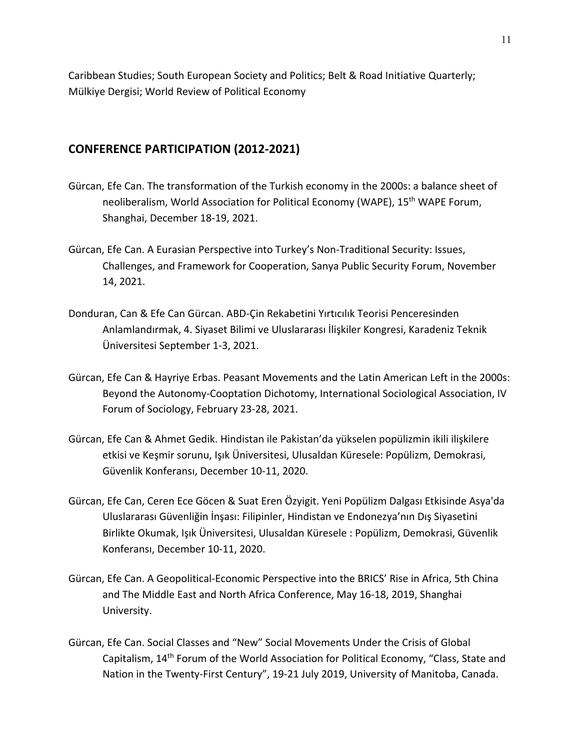Caribbean Studies; South European Society and Politics; Belt & Road Initiative Quarterly; Mülkiye Dergisi; World Review of Political Economy

#### **CONFERENCE PARTICIPATION (2012-2021)**

- Gürcan, Efe Can. The transformation of the Turkish economy in the 2000s: a balance sheet of neoliberalism, World Association for Political Economy (WAPE), 15<sup>th</sup> WAPE Forum, Shanghai, December 18-19, 2021.
- Gürcan, Efe Can. A Eurasian Perspective into Turkey's Non-Traditional Security: Issues, Challenges, and Framework for Cooperation, Sanya Public Security Forum, November 14, 2021.
- Donduran, Can & Efe Can Gürcan. ABD-Çin Rekabetini Yırtıcılık Teorisi Penceresinden Anlamlandırmak, 4. Siyaset Bilimi ve Uluslararası İlişkiler Kongresi, Karadeniz Teknik Üniversitesi September 1-3, 2021.
- Gürcan, Efe Can & Hayriye Erbas. Peasant Movements and the Latin American Left in the 2000s: Beyond the Autonomy-Cooptation Dichotomy, International Sociological Association, IV Forum of Sociology, February 23-28, 2021.
- Gürcan, Efe Can & Ahmet Gedik. Hindistan ile Pakistan'da yükselen popülizmin ikili ilişkilere etkisi ve Keşmir sorunu, Işık Üniversitesi, Ulusaldan Küresele: Popülizm, Demokrasi, Güvenlik Konferansı, December 10-11, 2020.
- Gürcan, Efe Can, Ceren Ece Göcen & Suat Eren Özyigit. Yeni Popülizm Dalgası Etkisinde Asya'da Uluslararası Güvenliğin İnşası: Filipinler, Hindistan ve Endonezya'nın Dış Siyasetini Birlikte Okumak, Işık Üniversitesi, Ulusaldan Küresele : Popülizm, Demokrasi, Güvenlik Konferansı, December 10-11, 2020.
- Gürcan, Efe Can. A Geopolitical-Economic Perspective into the BRICS' Rise in Africa, 5th China and The Middle East and North Africa Conference, May 16-18, 2019, Shanghai University.
- Gürcan, Efe Can. Social Classes and "New" Social Movements Under the Crisis of Global Capitalism, 14th Forum of the World Association for Political Economy, "Class, State and Nation in the Twenty-First Century", 19-21 July 2019, University of Manitoba, Canada.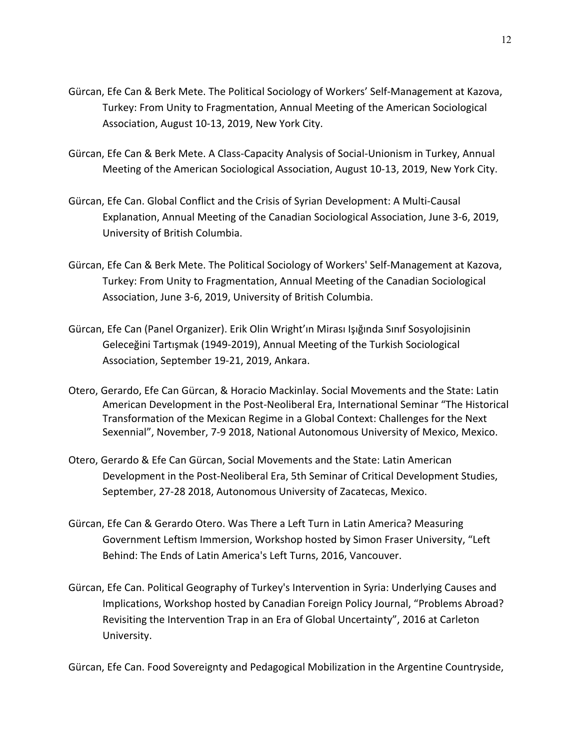- Gürcan, Efe Can & Berk Mete. The Political Sociology of Workers' Self-Management at Kazova, Turkey: From Unity to Fragmentation, Annual Meeting of the American Sociological Association, August 10-13, 2019, New York City.
- Gürcan, Efe Can & Berk Mete. A Class-Capacity Analysis of Social-Unionism in Turkey, Annual Meeting of the American Sociological Association, August 10-13, 2019, New York City.
- Gürcan, Efe Can. Global Conflict and the Crisis of Syrian Development: A Multi-Causal Explanation, Annual Meeting of the Canadian Sociological Association, June 3-6, 2019, University of British Columbia.
- Gürcan, Efe Can & Berk Mete. The Political Sociology of Workers' Self-Management at Kazova, Turkey: From Unity to Fragmentation, Annual Meeting of the Canadian Sociological Association, June 3-6, 2019, University of British Columbia.
- Gürcan, Efe Can (Panel Organizer). Erik Olin Wright'ın Mirası Işığında Sınıf Sosyolojisinin Geleceğini Tartışmak (1949-2019), Annual Meeting of the Turkish Sociological Association, September 19-21, 2019, Ankara.
- Otero, Gerardo, Efe Can Gürcan, & Horacio Mackinlay. Social Movements and the State: Latin American Development in the Post-Neoliberal Era, International Seminar "The Historical Transformation of the Mexican Regime in a Global Context: Challenges for the Next Sexennial", November, 7-9 2018, National Autonomous University of Mexico, Mexico.
- Otero, Gerardo & Efe Can Gürcan, Social Movements and the State: Latin American Development in the Post-Neoliberal Era, 5th Seminar of Critical Development Studies, September, 27-28 2018, Autonomous University of Zacatecas, Mexico.
- Gürcan, Efe Can & Gerardo Otero. Was There a Left Turn in Latin America? Measuring Government Leftism Immersion, Workshop hosted by Simon Fraser University, "Left Behind: The Ends of Latin America's Left Turns, 2016, Vancouver.
- Gürcan, Efe Can. Political Geography of Turkey's Intervention in Syria: Underlying Causes and Implications, Workshop hosted by Canadian Foreign Policy Journal, "Problems Abroad? Revisiting the Intervention Trap in an Era of Global Uncertainty", 2016 at Carleton University.

Gürcan, Efe Can. Food Sovereignty and Pedagogical Mobilization in the Argentine Countryside,